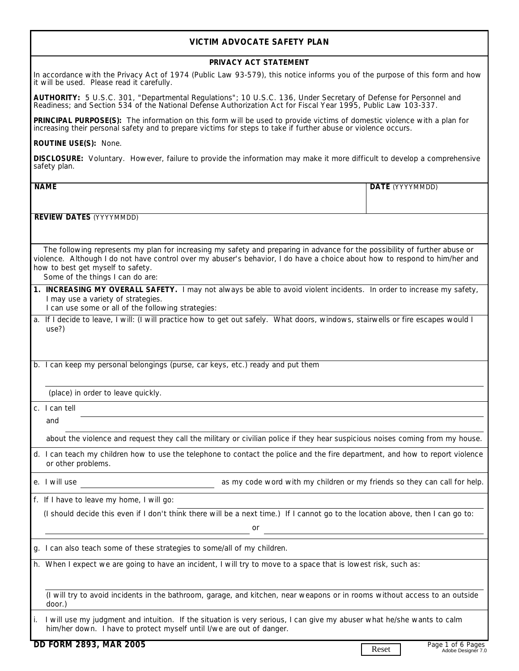## **VICTIM ADVOCATE SAFETY PLAN**

## **PRIVACY ACT STATEMENT**

In accordance with the Privacy Act of 1974 (Public Law 93-579), this notice informs you of the purpose of this form and how it will be used. Please read it carefully.

**AUTHORITY:** 5 U.S.C. 301, "Departmental Regulations"; 10 U.S.C. 136, Under Secretary of Defense for Personnel and Readiness; and Section 534 of the National Defense Authorization Act for Fiscal Year 1995, Public Law 103-337.

**PRINCIPAL PURPOSE(S):** The information on this form will be used to provide victims of domestic violence with a plan for increasing their personal safety and to prepare victims for steps to take if further abuse or violence occurs.

**ROUTINE USE(S):** None.

**DISCLOSURE:** Voluntary. However, failure to provide the information may make it more difficult to develop a comprehensive safety plan.

| safety plan.                                                                                                                                                                                                                                                                                                                      |       |                                         |  |
|-----------------------------------------------------------------------------------------------------------------------------------------------------------------------------------------------------------------------------------------------------------------------------------------------------------------------------------|-------|-----------------------------------------|--|
| <b>NAME</b>                                                                                                                                                                                                                                                                                                                       |       | DATE (YYYYMMDD)                         |  |
|                                                                                                                                                                                                                                                                                                                                   |       |                                         |  |
| <b>REVIEW DATES (YYYYMMDD)</b>                                                                                                                                                                                                                                                                                                    |       |                                         |  |
| The following represents my plan for increasing my safety and preparing in advance for the possibility of further abuse or<br>violence. Although I do not have control over my abuser's behavior, I do have a choice about how to respond to him/her and<br>how to best get myself to safety.<br>Some of the things I can do are: |       |                                         |  |
| 1. INCREASING MY OVERALL SAFETY. I may not always be able to avoid violent incidents. In order to increase my safety,<br>I may use a variety of strategies.<br>I can use some or all of the following strategies:                                                                                                                 |       |                                         |  |
| a. If I decide to leave, I will: (I will practice how to get out safely. What doors, windows, stairwells or fire escapes would I<br>use?)                                                                                                                                                                                         |       |                                         |  |
| b. I can keep my personal belongings (purse, car keys, etc.) ready and put them                                                                                                                                                                                                                                                   |       |                                         |  |
| (place) in order to leave quickly.                                                                                                                                                                                                                                                                                                |       |                                         |  |
| c. I can tell                                                                                                                                                                                                                                                                                                                     |       |                                         |  |
| and                                                                                                                                                                                                                                                                                                                               |       |                                         |  |
| about the violence and request they call the military or civilian police if they hear suspicious noises coming from my house.                                                                                                                                                                                                     |       |                                         |  |
| d. I can teach my children how to use the telephone to contact the police and the fire department, and how to report violence<br>or other problems.                                                                                                                                                                               |       |                                         |  |
| e. I will use<br>as my code word with my children or my friends so they can call for help.                                                                                                                                                                                                                                        |       |                                         |  |
| f. If I have to leave my home, I will go:                                                                                                                                                                                                                                                                                         |       |                                         |  |
| (I should decide this even if I don't think there will be a next time.) If I cannot go to the location above, then I can go to:<br>or                                                                                                                                                                                             |       |                                         |  |
| g. I can also teach some of these strategies to some/all of my children.                                                                                                                                                                                                                                                          |       |                                         |  |
| h. When I expect we are going to have an incident, I will try to move to a space that is lowest risk, such as:                                                                                                                                                                                                                    |       |                                         |  |
| (I will try to avoid incidents in the bathroom, garage, and kitchen, near weapons or in rooms without access to an outside<br>door.)                                                                                                                                                                                              |       |                                         |  |
| I will use my judgment and intuition. If the situation is very serious, I can give my abuser what he/she wants to calm<br>him/her down. I have to protect myself until I/we are out of danger.                                                                                                                                    |       |                                         |  |
| DD FORM 2893, MAR 2005                                                                                                                                                                                                                                                                                                            | Reset | Page 1 of 6 Pages<br>Adobe Designer 7.0 |  |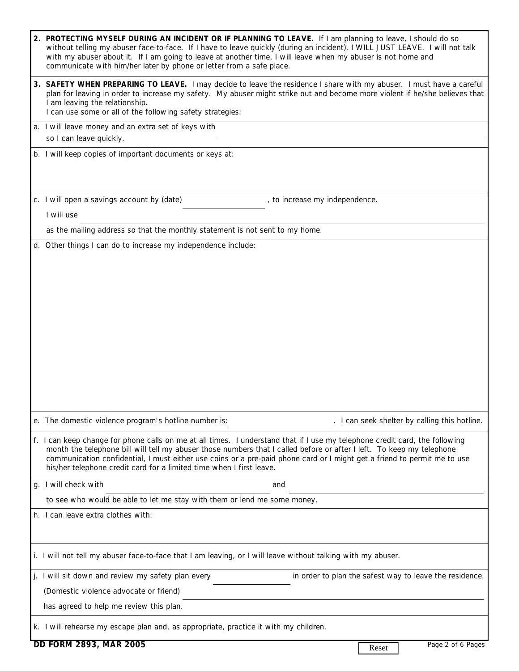|    | 2. PROTECTING MYSELF DURING AN INCIDENT OR IF PLANNING TO LEAVE. If I am planning to leave, I should do so<br>without telling my abuser face-to-face. If I have to leave quickly (during an incident), I WILL JUST LEAVE. I will not talk<br>with my abuser about it. If I am going to leave at another time, I will leave when my abuser is not home and<br>communicate with him/her later by phone or letter from a safe place.                        |  |  |  |
|----|----------------------------------------------------------------------------------------------------------------------------------------------------------------------------------------------------------------------------------------------------------------------------------------------------------------------------------------------------------------------------------------------------------------------------------------------------------|--|--|--|
|    | 3. SAFETY WHEN PREPARING TO LEAVE. I may decide to leave the residence I share with my abuser. I must have a careful<br>plan for leaving in order to increase my safety. My abuser might strike out and become more violent if he/she believes that<br>I am leaving the relationship.<br>I can use some or all of the following safety strategies:                                                                                                       |  |  |  |
|    | a. I will leave money and an extra set of keys with                                                                                                                                                                                                                                                                                                                                                                                                      |  |  |  |
|    | so I can leave quickly.                                                                                                                                                                                                                                                                                                                                                                                                                                  |  |  |  |
|    | b. I will keep copies of important documents or keys at:                                                                                                                                                                                                                                                                                                                                                                                                 |  |  |  |
|    | c. I will open a savings account by (date)<br>, to increase my independence.                                                                                                                                                                                                                                                                                                                                                                             |  |  |  |
|    | I will use                                                                                                                                                                                                                                                                                                                                                                                                                                               |  |  |  |
|    | as the mailing address so that the monthly statement is not sent to my home.                                                                                                                                                                                                                                                                                                                                                                             |  |  |  |
|    | d. Other things I can do to increase my independence include:                                                                                                                                                                                                                                                                                                                                                                                            |  |  |  |
|    |                                                                                                                                                                                                                                                                                                                                                                                                                                                          |  |  |  |
|    |                                                                                                                                                                                                                                                                                                                                                                                                                                                          |  |  |  |
|    |                                                                                                                                                                                                                                                                                                                                                                                                                                                          |  |  |  |
|    |                                                                                                                                                                                                                                                                                                                                                                                                                                                          |  |  |  |
|    |                                                                                                                                                                                                                                                                                                                                                                                                                                                          |  |  |  |
|    |                                                                                                                                                                                                                                                                                                                                                                                                                                                          |  |  |  |
|    |                                                                                                                                                                                                                                                                                                                                                                                                                                                          |  |  |  |
|    |                                                                                                                                                                                                                                                                                                                                                                                                                                                          |  |  |  |
|    |                                                                                                                                                                                                                                                                                                                                                                                                                                                          |  |  |  |
|    |                                                                                                                                                                                                                                                                                                                                                                                                                                                          |  |  |  |
|    |                                                                                                                                                                                                                                                                                                                                                                                                                                                          |  |  |  |
|    |                                                                                                                                                                                                                                                                                                                                                                                                                                                          |  |  |  |
|    | e. The domestic violence program's hotline number is:<br>I can seek shelter by calling this hotline.                                                                                                                                                                                                                                                                                                                                                     |  |  |  |
|    | f. I can keep change for phone calls on me at all times. I understand that if I use my telephone credit card, the following<br>month the telephone bill will tell my abuser those numbers that I called before or after I left. To keep my telephone<br>communication confidential, I must either use coins or a pre-paid phone card or I might get a friend to permit me to use<br>his/her telephone credit card for a limited time when I first leave. |  |  |  |
| g. | I will check with<br>and                                                                                                                                                                                                                                                                                                                                                                                                                                 |  |  |  |
|    | to see who would be able to let me stay with them or lend me some money.                                                                                                                                                                                                                                                                                                                                                                                 |  |  |  |
|    | h. I can leave extra clothes with:                                                                                                                                                                                                                                                                                                                                                                                                                       |  |  |  |
|    |                                                                                                                                                                                                                                                                                                                                                                                                                                                          |  |  |  |
|    | i. I will not tell my abuser face-to-face that I am leaving, or I will leave without talking with my abuser.                                                                                                                                                                                                                                                                                                                                             |  |  |  |
|    | in order to plan the safest way to leave the residence.<br>j. I will sit down and review my safety plan every                                                                                                                                                                                                                                                                                                                                            |  |  |  |
|    | (Domestic violence advocate or friend)                                                                                                                                                                                                                                                                                                                                                                                                                   |  |  |  |
|    | has agreed to help me review this plan.                                                                                                                                                                                                                                                                                                                                                                                                                  |  |  |  |
|    | k. I will rehearse my escape plan and, as appropriate, practice it with my children.                                                                                                                                                                                                                                                                                                                                                                     |  |  |  |
|    | DD FORM 2893, MAR 2005<br>Page 2 of 6 Pages<br>Reset                                                                                                                                                                                                                                                                                                                                                                                                     |  |  |  |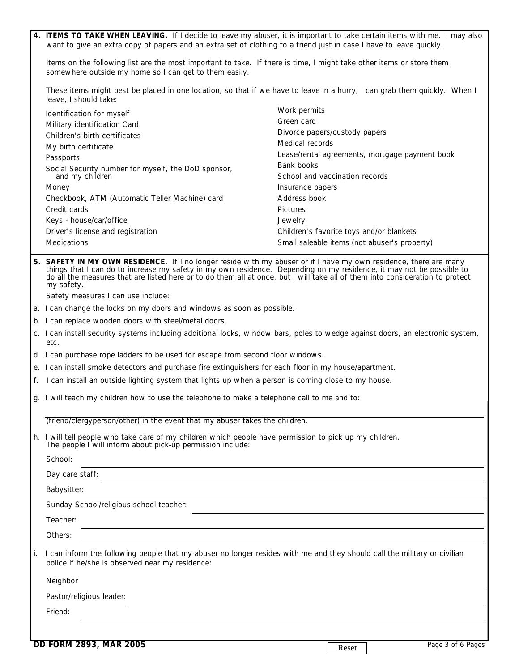|    | 4. ITEMS TO TAKE WHEN LEAVING. If I decide to leave my abuser, it is important to take certain items with me. I may also<br>want to give an extra copy of papers and an extra set of clothing to a friend just in case I have to leave quickly.                                                                                                                                          |                                                |  |  |  |
|----|------------------------------------------------------------------------------------------------------------------------------------------------------------------------------------------------------------------------------------------------------------------------------------------------------------------------------------------------------------------------------------------|------------------------------------------------|--|--|--|
|    | Items on the following list are the most important to take. If there is time, I might take other items or store them<br>somewhere outside my home so I can get to them easily.                                                                                                                                                                                                           |                                                |  |  |  |
|    | These items might best be placed in one location, so that if we have to leave in a hurry, I can grab them quickly. When I<br>leave, I should take:                                                                                                                                                                                                                                       |                                                |  |  |  |
|    | Identification for myself                                                                                                                                                                                                                                                                                                                                                                | Work permits                                   |  |  |  |
|    | Military identification Card                                                                                                                                                                                                                                                                                                                                                             | Green card                                     |  |  |  |
|    | Children's birth certificates                                                                                                                                                                                                                                                                                                                                                            | Divorce papers/custody papers                  |  |  |  |
|    | My birth certificate                                                                                                                                                                                                                                                                                                                                                                     | Medical records                                |  |  |  |
|    | Passports                                                                                                                                                                                                                                                                                                                                                                                | Lease/rental agreements, mortgage payment book |  |  |  |
|    | Social Security number for myself, the DoD sponsor,                                                                                                                                                                                                                                                                                                                                      | Bank books                                     |  |  |  |
|    | and my children                                                                                                                                                                                                                                                                                                                                                                          | School and vaccination records                 |  |  |  |
|    | Money                                                                                                                                                                                                                                                                                                                                                                                    | Insurance papers                               |  |  |  |
|    | Checkbook, ATM (Automatic Teller Machine) card                                                                                                                                                                                                                                                                                                                                           | Address book                                   |  |  |  |
|    | Credit cards                                                                                                                                                                                                                                                                                                                                                                             | <b>Pictures</b>                                |  |  |  |
|    | Keys - house/car/office                                                                                                                                                                                                                                                                                                                                                                  | Jewelry                                        |  |  |  |
|    | Driver's license and registration                                                                                                                                                                                                                                                                                                                                                        | Children's favorite toys and/or blankets       |  |  |  |
|    | Medications                                                                                                                                                                                                                                                                                                                                                                              | Small saleable items (not abuser's property)   |  |  |  |
|    | 5. SAFETY IN MY OWN RESIDENCE. If I no longer reside with my abuser or if I have my own residence, there are many<br>things that I can do to increase my safety in my own residence. Depending on my residence, it may not be possible to<br>do all the measures that are listed here or to do them all at once, but I will take all of them into consideration to protect<br>my safety. |                                                |  |  |  |
|    | Safety measures I can use include:                                                                                                                                                                                                                                                                                                                                                       |                                                |  |  |  |
|    | a. I can change the locks on my doors and windows as soon as possible.                                                                                                                                                                                                                                                                                                                   |                                                |  |  |  |
|    | b. I can replace wooden doors with steel/metal doors.                                                                                                                                                                                                                                                                                                                                    |                                                |  |  |  |
|    | c. I can install security systems including additional locks, window bars, poles to wedge against doors, an electronic system,<br>etc.                                                                                                                                                                                                                                                   |                                                |  |  |  |
|    | d. I can purchase rope ladders to be used for escape from second floor windows.                                                                                                                                                                                                                                                                                                          |                                                |  |  |  |
|    | e. I can install smoke detectors and purchase fire extinguishers for each floor in my house/apartment.                                                                                                                                                                                                                                                                                   |                                                |  |  |  |
|    | f. I can install an outside lighting system that lights up when a person is coming close to my house.                                                                                                                                                                                                                                                                                    |                                                |  |  |  |
|    | g. I will teach my children how to use the telephone to make a telephone call to me and to:                                                                                                                                                                                                                                                                                              |                                                |  |  |  |
|    | (friend/clergyperson/other) in the event that my abuser takes the children.                                                                                                                                                                                                                                                                                                              |                                                |  |  |  |
|    | h. I will tell people who take care of my children which people have permission to pick up my children.<br>The people I will inform about pick-up permission include:<br>School:                                                                                                                                                                                                         |                                                |  |  |  |
|    | Day care staff:                                                                                                                                                                                                                                                                                                                                                                          |                                                |  |  |  |
|    | Babysitter:                                                                                                                                                                                                                                                                                                                                                                              |                                                |  |  |  |
|    | Sunday School/religious school teacher:                                                                                                                                                                                                                                                                                                                                                  |                                                |  |  |  |
|    | Teacher:                                                                                                                                                                                                                                                                                                                                                                                 |                                                |  |  |  |
|    | Others:                                                                                                                                                                                                                                                                                                                                                                                  |                                                |  |  |  |
| i. | I can inform the following people that my abuser no longer resides with me and they should call the military or civilian<br>police if he/she is observed near my residence:                                                                                                                                                                                                              |                                                |  |  |  |
|    | Neighbor                                                                                                                                                                                                                                                                                                                                                                                 |                                                |  |  |  |
|    | Pastor/religious leader:                                                                                                                                                                                                                                                                                                                                                                 |                                                |  |  |  |
|    | Friend:                                                                                                                                                                                                                                                                                                                                                                                  |                                                |  |  |  |
|    |                                                                                                                                                                                                                                                                                                                                                                                          |                                                |  |  |  |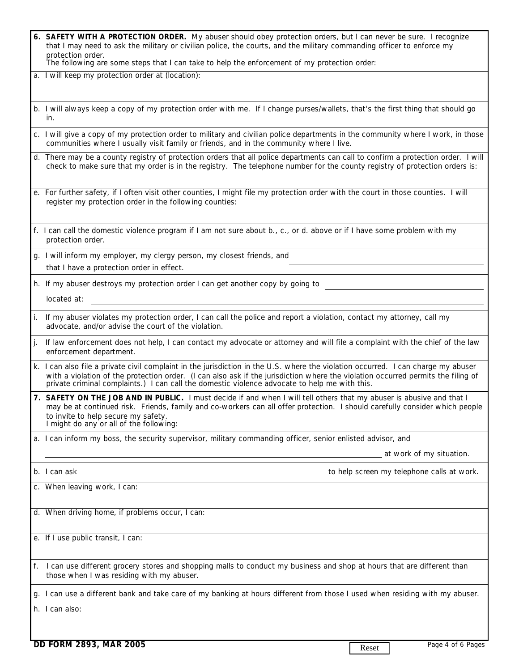| 6. SAFETY WITH A PROTECTION ORDER. My abuser should obey protection orders, but I can never be sure. I recognize      |
|-----------------------------------------------------------------------------------------------------------------------|
| that I may need to ask the military or civilian police, the courts, and the military commanding officer to enforce my |
| protection order.                                                                                                     |
| The following are some steps that I can take to help the enforcement of my protection order:                          |

a. I will keep my protection order at (location):

- b. I will always keep a copy of my protection order with me. If I change purses/wallets, that's the first thing that should go in.
- c. I will give a copy of my protection order to military and civilian police departments in the community where I work, in those communities where I usually visit family or friends, and in the community where I live.
- d. There may be a county registry of protection orders that all police departments can call to confirm a protection order. I will check to make sure that my order is in the registry. The telephone number for the county registry of protection orders is:
- e. For further safety, if I often visit other counties, I might file my protection order with the court in those counties. I will register my protection order in the following counties:
- f. I can call the domestic violence program if I am not sure about b., c., or d. above or if I have some problem with my protection order.
- that I have a protection order in effect. g. I will inform my employer, my clergy person, my closest friends, and
- h. If my abuser destroys my protection order I can get another copy by going to

located at:

- i. If my abuser violates my protection order, I can call the police and report a violation, contact my attorney, call my advocate, and/or advise the court of the violation.
- j. If law enforcement does not help, I can contact my advocate or attorney and will file a complaint with the chief of the law enforcement department.
- k. I can also file a private civil complaint in the jurisdiction in the U.S. where the violation occurred. I can charge my abuser with a violation of the protection order. (I can also ask if the jurisdiction where the violation occurred permits the filing of private criminal complaints.) I can call the domestic violence advocate to help me with this.
- **7. SAFETY ON THE JOB AND IN PUBLIC.** I must decide if and when I will tell others that my abuser is abusive and that I may be at continued risk. Friends, family and co-workers can all offer protection. I should carefully consider which people to invite to help secure my safety. I might do any or all of the following:
- a. I can inform my boss, the security supervisor, military commanding officer, senior enlisted advisor, and

at work of my situation.

b. I can ask to help screen my telephone calls at work.

c. When leaving work, I can:

d. When driving home, if problems occur, I can:

e. If I use public transit, I can:

- f. I can use different grocery stores and shopping malls to conduct my business and shop at hours that are different than those when I was residing with my abuser.
- g. I can use a different bank and take care of my banking at hours different from those I used when residing with my abuser.

h. I can also: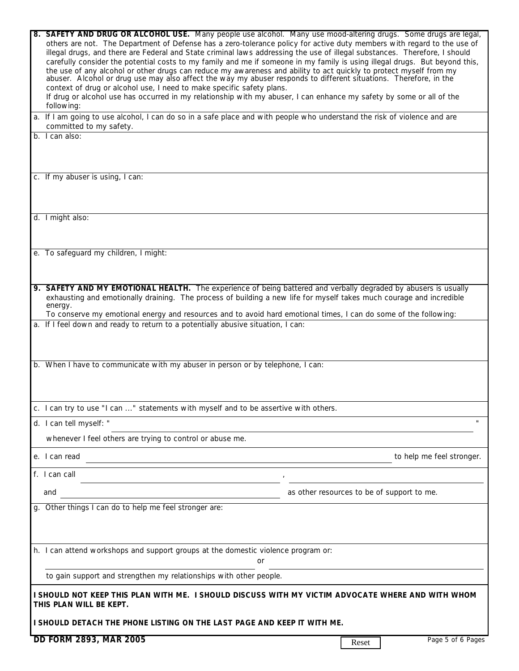| 8. SAFETY AND DRUG OR ALCOHOL USE. Many people use alcohol. Many use mood-altering drugs. Some drugs are legal,<br>others are not. The Department of Defense has a zero-tolerance policy for active duty members with regard to the use of<br>illegal drugs, and there are Federal and State criminal laws addressing the use of illegal substances. Therefore, I should<br>carefully consider the potential costs to my family and me if someone in my family is using illegal drugs. But beyond this,<br>the use of any alcohol or other drugs can reduce my awareness and ability to act quickly to protect myself from my<br>abuser. Alcohol or drug use may also affect the way my abuser responds to different situations. Therefore, in the<br>context of drug or alcohol use, I need to make specific safety plans.<br>If drug or alcohol use has occurred in my relationship with my abuser, I can enhance my safety by some or all of the<br>following:<br>a. If I am going to use alcohol, I can do so in a safe place and with people who understand the risk of violence and are<br>committed to my safety.<br>b. I can also: |       |                                            |  |
|--------------------------------------------------------------------------------------------------------------------------------------------------------------------------------------------------------------------------------------------------------------------------------------------------------------------------------------------------------------------------------------------------------------------------------------------------------------------------------------------------------------------------------------------------------------------------------------------------------------------------------------------------------------------------------------------------------------------------------------------------------------------------------------------------------------------------------------------------------------------------------------------------------------------------------------------------------------------------------------------------------------------------------------------------------------------------------------------------------------------------------------------|-------|--------------------------------------------|--|
|                                                                                                                                                                                                                                                                                                                                                                                                                                                                                                                                                                                                                                                                                                                                                                                                                                                                                                                                                                                                                                                                                                                                            |       |                                            |  |
| c. If my abuser is using, I can:                                                                                                                                                                                                                                                                                                                                                                                                                                                                                                                                                                                                                                                                                                                                                                                                                                                                                                                                                                                                                                                                                                           |       |                                            |  |
| d. I might also:                                                                                                                                                                                                                                                                                                                                                                                                                                                                                                                                                                                                                                                                                                                                                                                                                                                                                                                                                                                                                                                                                                                           |       |                                            |  |
| e. To safeguard my children, I might:                                                                                                                                                                                                                                                                                                                                                                                                                                                                                                                                                                                                                                                                                                                                                                                                                                                                                                                                                                                                                                                                                                      |       |                                            |  |
| 9. SAFETY AND MY EMOTIONAL HEALTH. The experience of being battered and verbally degraded by abusers is usually<br>exhausting and emotionally draining. The process of building a new life for myself takes much courage and incredible<br>energy.<br>To conserve my emotional energy and resources and to avoid hard emotional times, I can do some of the following:                                                                                                                                                                                                                                                                                                                                                                                                                                                                                                                                                                                                                                                                                                                                                                     |       |                                            |  |
| a. If I feel down and ready to return to a potentially abusive situation, I can:                                                                                                                                                                                                                                                                                                                                                                                                                                                                                                                                                                                                                                                                                                                                                                                                                                                                                                                                                                                                                                                           |       |                                            |  |
| b. When I have to communicate with my abuser in person or by telephone, I can:                                                                                                                                                                                                                                                                                                                                                                                                                                                                                                                                                                                                                                                                                                                                                                                                                                                                                                                                                                                                                                                             |       |                                            |  |
| c. I can try to use "I can " statements with myself and to be assertive with others.                                                                                                                                                                                                                                                                                                                                                                                                                                                                                                                                                                                                                                                                                                                                                                                                                                                                                                                                                                                                                                                       |       |                                            |  |
| d. I can tell myself: "                                                                                                                                                                                                                                                                                                                                                                                                                                                                                                                                                                                                                                                                                                                                                                                                                                                                                                                                                                                                                                                                                                                    |       |                                            |  |
| whenever I feel others are trying to control or abuse me.                                                                                                                                                                                                                                                                                                                                                                                                                                                                                                                                                                                                                                                                                                                                                                                                                                                                                                                                                                                                                                                                                  |       |                                            |  |
| e. I can read                                                                                                                                                                                                                                                                                                                                                                                                                                                                                                                                                                                                                                                                                                                                                                                                                                                                                                                                                                                                                                                                                                                              |       | to help me feel stronger.                  |  |
| f. I can call                                                                                                                                                                                                                                                                                                                                                                                                                                                                                                                                                                                                                                                                                                                                                                                                                                                                                                                                                                                                                                                                                                                              |       |                                            |  |
| and                                                                                                                                                                                                                                                                                                                                                                                                                                                                                                                                                                                                                                                                                                                                                                                                                                                                                                                                                                                                                                                                                                                                        |       | as other resources to be of support to me. |  |
| g. Other things I can do to help me feel stronger are:                                                                                                                                                                                                                                                                                                                                                                                                                                                                                                                                                                                                                                                                                                                                                                                                                                                                                                                                                                                                                                                                                     |       |                                            |  |
| h. I can attend workshops and support groups at the domestic violence program or:<br>or                                                                                                                                                                                                                                                                                                                                                                                                                                                                                                                                                                                                                                                                                                                                                                                                                                                                                                                                                                                                                                                    |       |                                            |  |
| to gain support and strengthen my relationships with other people.                                                                                                                                                                                                                                                                                                                                                                                                                                                                                                                                                                                                                                                                                                                                                                                                                                                                                                                                                                                                                                                                         |       |                                            |  |
| I SHOULD NOT KEEP THIS PLAN WITH ME. I SHOULD DISCUSS WITH MY VICTIM ADVOCATE WHERE AND WITH WHOM<br>THIS PLAN WILL BE KEPT.                                                                                                                                                                                                                                                                                                                                                                                                                                                                                                                                                                                                                                                                                                                                                                                                                                                                                                                                                                                                               |       |                                            |  |
| I SHOULD DETACH THE PHONE LISTING ON THE LAST PAGE AND KEEP IT WITH ME.                                                                                                                                                                                                                                                                                                                                                                                                                                                                                                                                                                                                                                                                                                                                                                                                                                                                                                                                                                                                                                                                    |       |                                            |  |
| DD FORM 2893, MAR 2005                                                                                                                                                                                                                                                                                                                                                                                                                                                                                                                                                                                                                                                                                                                                                                                                                                                                                                                                                                                                                                                                                                                     | Reset | Page 5 of 6 Pages                          |  |